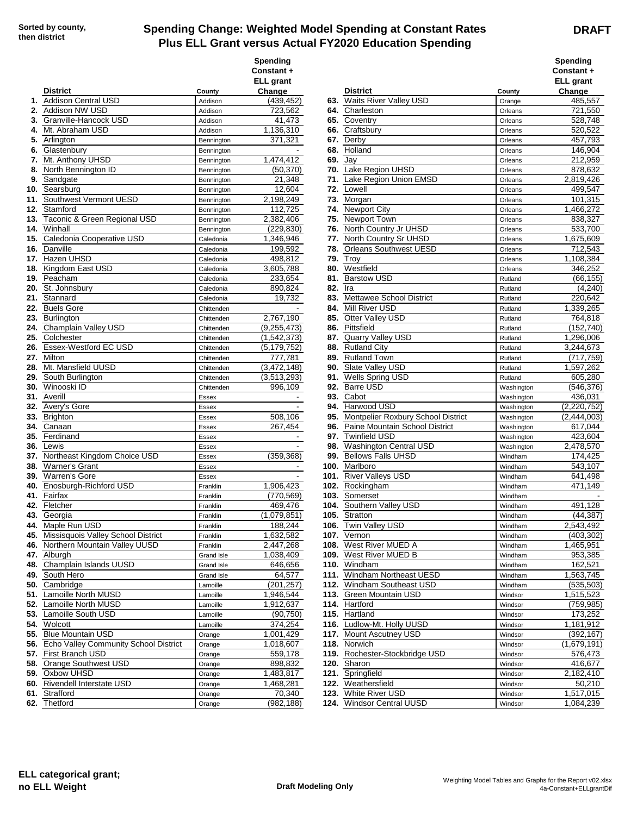## **Spending Change: Weighted Model Spending at Constant Rates Plus ELL Grant versus Actual FY2020 Education Spending**

|     |                                                  |                         | Spending<br>Constant +<br><b>ELL</b> grant |            |                                        |                    | Spending<br>Constant +<br><b>ELL</b> grant |
|-----|--------------------------------------------------|-------------------------|--------------------------------------------|------------|----------------------------------------|--------------------|--------------------------------------------|
|     | <b>District</b>                                  | County                  | Change                                     |            | <b>District</b>                        | County             | Change                                     |
|     | 1. Addison Central USD                           | Addison                 | (439, 452)                                 |            | 63. Waits River Valley USD             | Orange             | 485,557                                    |
|     | 2. Addison NW USD                                | Addison                 | 723,562                                    |            | 64. Charleston                         | Orleans            | 721,550                                    |
|     | 3. Granville-Hancock USD                         | Addison                 | 41,473                                     |            | 65. Coventry                           | Orleans            | 528,748                                    |
|     | 4. Mt. Abraham USD                               | Addison                 | 1,136,310                                  |            | 66. Craftsbury                         | Orleans            | 520,522                                    |
|     | 5. Arlington                                     | Bennington              | 371,321                                    |            | 67. Derby                              | Orleans            | 457,793                                    |
|     | 6. Glastenbury                                   | Bennington              |                                            | 68.        | Holland                                | Orleans            | 146,904                                    |
| 7.  | Mt. Anthony UHSD                                 | Bennington              | 1,474,412                                  | 69.        | Jay                                    | Orleans            | 212,959                                    |
|     | 8. North Bennington ID                           | Bennington              | (50, 370)                                  | 70.        | Lake Region UHSD                       | Orleans            | 878,632                                    |
|     | 9. Sandgate                                      | Bennington              | 21,348                                     | 71.        | Lake Region Union EMSD                 | Orleans            | 2,819,426                                  |
|     | 10. Searsburg                                    | Bennington              | 12,604                                     | 72.        | Lowell                                 | Orleans            | 499,547                                    |
|     | 11. Southwest Vermont UESD<br>12. Stamford       | Bennington              | 2,198,249<br>112,725                       | 73.        | Morgan<br><b>Newport City</b>          | Orleans            | 101,315                                    |
|     | 13. Taconic & Green Regional USD                 | Bennington              | 2,382,406                                  | 74.<br>75. | <b>Newport Town</b>                    | Orleans            | 1,466,272<br>838,327                       |
|     | 14. Winhall                                      | Bennington              |                                            | 76.        | North Country Jr UHSD                  | Orleans            | 533,700                                    |
|     | 15. Caledonia Cooperative USD                    | Bennington<br>Caledonia | (229, 830)<br>1,346,946                    |            | 77. North Country Sr UHSD              | Orleans<br>Orleans | 1,675,609                                  |
|     | 16. Danville                                     |                         | 199,592                                    | 78.        | <b>Orleans Southwest UESD</b>          | Orleans            | 712,543                                    |
|     | 17. Hazen UHSD                                   | Caledonia<br>Caledonia  | 498,812                                    | 79.        | Troy                                   |                    | 1,108,384                                  |
|     | 18. Kingdom East USD                             | Caledonia               | 3,605,788                                  | 80.        | Westfield                              | Orleans<br>Orleans | 346,252                                    |
|     | 19. Peacham                                      | Caledonia               | 233,654                                    | 81.        | <b>Barstow USD</b>                     | Rutland            | (66, 155)                                  |
|     | 20. St. Johnsbury                                | Caledonia               | 890,824                                    | 82.        | Ira                                    | Rutland            | (4, 240)                                   |
|     | 21. Stannard                                     | Caledonia               | 19,732                                     | 83.        | Mettawee School District               | Rutland            | 220,642                                    |
|     | 22. Buels Gore                                   | Chittenden              |                                            | 84.        | Mill River USD                         | Rutland            | 1,339,265                                  |
|     | 23. Burlington                                   | Chittenden              | 2,767,190                                  | 85.        | Otter Valley USD                       | Rutland            | 764,818                                    |
|     | 24. Champlain Valley USD                         | Chittenden              | (9,255,473)                                | 86.        | Pittsfield                             | Rutland            | (152, 740)                                 |
|     | 25. Colchester                                   | Chittenden              | (1,542,373)                                |            | 87. Quarry Valley USD                  | Rutland            | 1,296,006                                  |
|     | 26. Essex-Westford EC USD                        | Chittenden              | (5, 179, 752)                              | 88.        | <b>Rutland City</b>                    | Rutland            | 3,244,673                                  |
|     | 27. Milton                                       | Chittenden              | 777,781                                    | 89.        | <b>Rutland Town</b>                    | Rutland            | (717, 759)                                 |
|     | 28. Mt. Mansfield UUSD                           | Chittenden              | (3, 472, 148)                              | 90.        | Slate Valley USD                       | Rutland            | 1,597,262                                  |
|     | 29. South Burlington                             | Chittenden              | (3,513,293)                                | 91.        | <b>Wells Spring USD</b>                | Rutland            | 605,280                                    |
|     | <b>30.</b> Winooski ID                           | Chittenden              | 996,109                                    | 92.        | <b>Barre USD</b>                       | Washington         | (546, 376)                                 |
|     | <b>31.</b> Averill                               | Essex                   |                                            | 93.        | Cabot                                  | Washington         | 436,031                                    |
|     | 32. Avery's Gore                                 | Essex                   |                                            | 94.        | Harwood USD                            | Washington         | (2, 220, 752)                              |
|     | 33. Brighton                                     | Essex                   | 508,106                                    | 95.        | Montpelier Roxbury School District     | Washington         | (2,444,003)                                |
|     | 34. Canaan                                       | Essex                   | 267,454                                    | 96.        | Paine Mountain School District         | Washington         | 617,044                                    |
|     | 35. Ferdinand                                    | Essex                   |                                            |            | 97. Twinfield USD                      | Washington         | 423,604                                    |
| 36. | Lewis                                            | Essex                   |                                            | 98.        | <b>Washington Central USD</b>          | Washington         | 2,478,570                                  |
|     | 37. Northeast Kingdom Choice USD                 | Essex                   | (359,368)                                  | 99.        | <b>Bellows Falls UHSD</b>              | Windham            | 174,425                                    |
|     | 38. Warner's Grant                               | Essex                   | $\overline{\phantom{a}}$                   | 100.       | Marlboro                               | Windham            | 543.107                                    |
|     | 39. Warren's Gore                                | Essex                   |                                            |            | 101. River Valleys USD                 | Windham            | 641,498                                    |
|     | 40. Enosburgh-Richford USD                       | Franklin                | 1,906,423                                  | 102.       | Rockingham                             | Windham            | 471,149                                    |
|     | 41. Fairfax                                      | Franklin                | (770, 569)                                 | 103.       | Somerset                               | Windham            |                                            |
|     | 42. Fletcher                                     | Franklin                | 469,476                                    |            | 104. Southern Valley USD               | Windham            | 491,128                                    |
|     | 43. Georgia                                      | Franklin                | (1,079,851)                                | 105.       | Stratton                               | Windham            | (44, 387)                                  |
|     | 44. Maple Run USD                                | Franklin                | 188,244                                    |            | 106. Twin Valley USD                   | Windham            | 2,543,492                                  |
|     | 45. Missisquois Valley School District           | Franklin                | 1,632,582                                  |            | 107. Vernon                            | Windham            | (403, 302)                                 |
|     | 46. Northern Mountain Valley UUSD                | Franklin                | 2,447,268                                  |            | 108. West River MUED A                 | Windham            | 1,465,951                                  |
|     | <b>47.</b> Alburgh                               | Grand Isle              | 1,038,409                                  |            | 109. West River MUED B                 | Windham            | 953,385                                    |
|     | 48. Champlain Islands UUSD                       | <b>Grand Isle</b>       | 646,656                                    |            | 110. Windham                           | Windham            | 162,521                                    |
|     | 49. South Hero                                   | Grand Isle              | 64,577                                     |            | 111. Windham Northeast UESD            | Windham            | 1,563,745                                  |
|     | 50. Cambridge                                    | Lamoille                | (201, 257)                                 |            | 112. Windham Southeast USD             | Windham            | (535, 503)                                 |
|     | 51. Lamoille North MUSD                          | Lamoille                | 1,946,544                                  |            | 113. Green Mountain USD                | Windsor            | 1,515,523                                  |
|     | 52. Lamoille North MUSD                          | Lamoille                | 1,912,637                                  |            | 114. Hartford                          | Windsor            | (759, 985)                                 |
|     | 53. Lamoille South USD                           | Lamoille                | (90, 750)                                  |            | 115. Hartland                          | Windsor            | 173,252                                    |
|     | 54. Wolcott                                      | Lamoille                | 374,254                                    |            | 116. Ludlow-Mt. Holly UUSD             | Windsor            | 1,181,912                                  |
|     | 55. Blue Mountain USD                            | Orange                  | 1,001,429                                  |            | 117. Mount Ascutney USD                | Windsor            | (392, 167)                                 |
|     | 56. Echo Valley Community School District        | Orange                  | 1,018,607                                  |            | 118. Norwich                           | Windsor            | (1,679,191)                                |
|     | 57. First Branch USD<br>58. Orange Southwest USD | Orange                  | 559,178                                    |            | 119. Rochester-Stockbridge USD         | Windsor            | 576,473<br>416,677                         |
|     | 59. Oxbow UHSD                                   | Orange                  | 898,832                                    |            | 120. Sharon                            | Windsor            |                                            |
|     | 60. Rivendell Interstate USD                     | Orange                  | 1,483,817                                  |            | 121. Springfield<br>122. Weathersfield | Windsor            | 2,182,410<br>50,210                        |
|     | 61. Strafford                                    | Orange<br>Orange        | 1,468,281<br>70,340                        |            | 123. White River USD                   | Windsor<br>Windsor | 1,517,015                                  |
|     | 62. Thetford                                     |                         | (982, 188)                                 |            | 124. Windsor Central UUSD              |                    | 1,084,239                                  |
|     |                                                  | Orange                  |                                            |            |                                        | Windsor            |                                            |

| <b>pending</b><br>onstant + |                                                       |                    | Spending<br>Constant+      |
|-----------------------------|-------------------------------------------------------|--------------------|----------------------------|
| <b>LL</b> grant             | <b>District</b>                                       | County             | <b>ELL</b> grant<br>Change |
| Change<br>(439, 452)        | 63. Waits River Valley USD                            | Orange             | 485,557                    |
| 723,562                     | 64. Charleston                                        | Orleans            | 721,550                    |
| 41,473                      | 65. Coventry                                          | Orleans            | 528,748                    |
| 1,136,310                   | 66. Craftsbury                                        | Orleans            | 520,522                    |
| 371,321                     | 67. Derby                                             | Orleans            | 457,793                    |
|                             | 68. Holland                                           | Orleans            | 146,904                    |
| 1,474,412                   | 69. Jay                                               | Orleans            | 212,959                    |
| (50, 370)                   | 70. Lake Region UHSD                                  | Orleans            | 878,632                    |
| 21,348                      | 71. Lake Region Union EMSD                            | Orleans            | 2,819,426                  |
| 12,604                      | 72. Lowell                                            | Orleans            | 499,547                    |
| 2,198,249                   | 73. Morgan                                            | Orleans            | 101,315                    |
| 112,725                     | 74. Newport City                                      | Orleans            | 1,466,272                  |
| 2,382,406                   | 75. Newport Town                                      | Orleans            | 838,327                    |
| (229, 830)                  | 76. North Country Jr UHSD                             | Orleans            | 533,700                    |
| 1,346,946                   | 77. North Country Sr UHSD                             | Orleans            | 1,675,609                  |
| 199,592                     | 78. Orleans Southwest UESD                            | Orleans            | 712,543                    |
| 498,812                     | <b>79. Troy</b>                                       | Orleans            | 1,108,384                  |
| 3,605,788                   | 80. Westfield                                         | Orleans            | 346,252                    |
| 233,654                     | 81. Barstow USD                                       | Rutland            | (66, 155)                  |
| 890,824                     | 82. Ira                                               | Rutland            | (4, 240)                   |
| 19,732                      | 83. Mettawee School District                          | Rutland            | 220,642                    |
|                             | 84. Mill River USD<br>85. Otter Valley USD            | Rutland            | 1,339,265                  |
| 2,767,190                   | 86. Pittsfield                                        | Rutland            | 764,818                    |
| (9,255,473)<br>(1,542,373)  | 87. Quarry Valley USD                                 | Rutland            | (152, 740)<br>1,296,006    |
| (5, 179, 752)               | 88. Rutland City                                      | Rutland<br>Rutland | 3,244,673                  |
| 777,781                     | 89. Rutland Town                                      | Rutland            | (717, 759)                 |
| (3,472,148)                 | 90. Slate Valley USD                                  | Rutland            | 1,597,262                  |
| (3,513,293)                 | 91. Wells Spring USD                                  | Rutland            | 605,280                    |
| 996,109                     | 92. Barre USD                                         | Washington         | (546,376)                  |
|                             | 93. Cabot                                             | Washington         | 436,031                    |
|                             | 94. Harwood USD                                       | Washington         | (2,220,752)                |
| 508,106                     | 95. Montpelier Roxbury School District                | Washington         | (2,444,003)                |
| 267,454                     | 96. Paine Mountain School District                    | Washington         | 617,044                    |
|                             | 97. Twinfield USD                                     | Washington         | 423,604                    |
|                             | 98. Washington Central USD                            | Washington         | 2,478,570                  |
| (359,368)                   | 99. Bellows Falls UHSD                                | Windham            | 174,425                    |
|                             | 100. Marlboro                                         | Windham            | 543,107                    |
|                             | 101. River Valleys USD                                | Windham            | 641,498                    |
| 1,906,423                   | 102. Rockingham                                       | Windham            | 471,149                    |
| (770, 569)                  | 103. Somerset                                         | Windham            |                            |
| 469,476                     | 104. Southern Valley USD                              | Windham            | 491,128                    |
| (1,079,851)                 | 105. Stratton                                         | Windham            | (44.387)                   |
| 188,244                     | 106. Twin Valley USD                                  | Windham            | 2,543,492                  |
| 1,632,582                   | 107. Vernon                                           | Windham            | (403,302)                  |
| 2,447,268                   | 108. West River MUED A                                | Windham            | 1,465,951                  |
| 1,038,409                   | 109. West River MUED B                                | Windham            | 953,385                    |
| 646,656                     | 110. Windham                                          | Windham            | 162,521                    |
| 64,577                      | 111. Windham Northeast UESD                           | Windham            | 1,563,745                  |
| (201, 257)<br>1,946,544     | 112. Windham Southeast USD<br>113. Green Mountain USD | Windham            | (535, 503)<br>1,515,523    |
| 1,912,637                   | 114. Hartford                                         | Windsor            | (759,985)                  |
| (90, 750)                   | 115. Hartland                                         | Windsor<br>Windsor | 173,252                    |
| 374,254                     | 116. Ludlow-Mt. Holly UUSD                            | Windsor            | 1,181,912                  |
| 1,001,429                   | 117. Mount Ascutney USD                               | Windsor            | (392, 167)                 |
| 1,018,607                   | 118. Norwich                                          | Windsor            | (1,679,191)                |
| 559,178                     | 119. Rochester-Stockbridge USD                        | Windsor            | 576,473                    |
| 898,832                     | 120. Sharon                                           | Windsor            | 416,677                    |
| 1,483,817                   | 121. Springfield                                      | Windsor            | 2,182,410                  |
| 1,468,281                   | 122. Weathersfield                                    | Windsor            | 50,210                     |
| 70,340                      | 123. White River USD                                  | Windsor            | 1,517,015                  |
| (982,188)                   | 124. Windsor Central UUSD                             | Windsor            | 1,084,239                  |